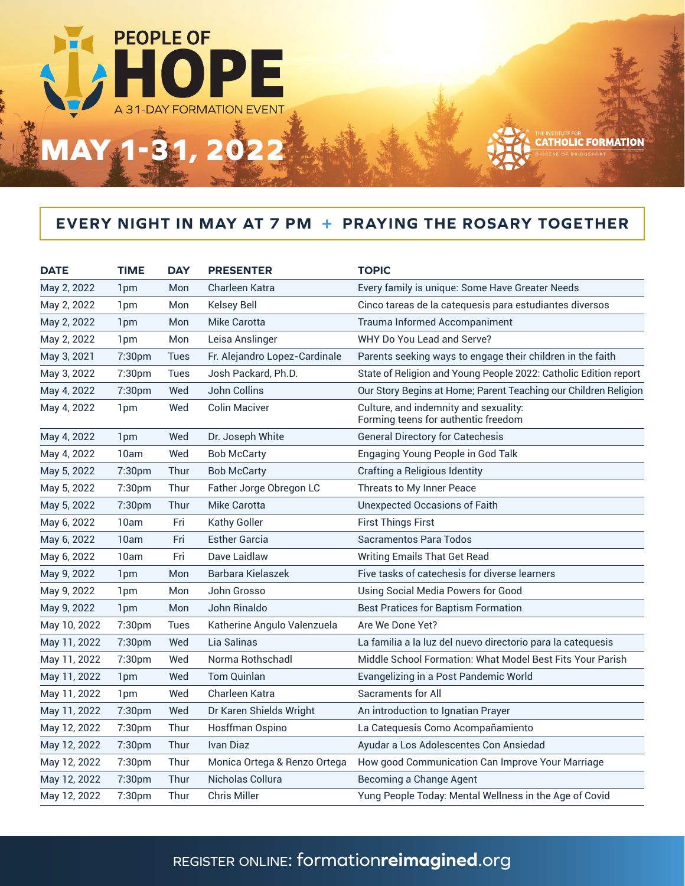

## **EVERY NIGHT IN MAY AT 7 PM + PRAYING THE ROSARY TOGETHER**

| <b>DATE</b>  | <b>TIME</b>     | <b>DAY</b>  | <b>PRESENTER</b>              | <b>TOPIC</b>                                                                 |
|--------------|-----------------|-------------|-------------------------------|------------------------------------------------------------------------------|
| May 2, 2022  | 1 <sub>pm</sub> | Mon         | Charleen Katra                | Every family is unique: Some Have Greater Needs                              |
| May 2, 2022  | 1 <sub>pm</sub> | Mon         | <b>Kelsey Bell</b>            | Cinco tareas de la catequesis para estudiantes diversos                      |
| May 2, 2022  | 1 <sub>pm</sub> | Mon         | <b>Mike Carotta</b>           | <b>Trauma Informed Accompaniment</b>                                         |
| May 2, 2022  | 1 <sub>pm</sub> | Mon         | Leisa Anslinger               | WHY Do You Lead and Serve?                                                   |
| May 3, 2021  | 7:30pm          | <b>Tues</b> | Fr. Alejandro Lopez-Cardinale | Parents seeking ways to engage their children in the faith                   |
| May 3, 2022  | 7:30pm          | <b>Tues</b> | Josh Packard, Ph.D.           | State of Religion and Young People 2022: Catholic Edition report             |
| May 4, 2022  | 7:30pm          | Wed         | <b>John Collins</b>           | Our Story Begins at Home; Parent Teaching our Children Religion              |
| May 4, 2022  | 1 <sub>pm</sub> | Wed         | <b>Colin Maciver</b>          | Culture, and indemnity and sexuality:<br>Forming teens for authentic freedom |
| May 4, 2022  | 1 <sub>pm</sub> | Wed         | Dr. Joseph White              | <b>General Directory for Catechesis</b>                                      |
| May 4, 2022  | 10am            | Wed         | <b>Bob McCarty</b>            | Engaging Young People in God Talk                                            |
| May 5, 2022  | 7:30pm          | Thur        | <b>Bob McCarty</b>            | Crafting a Religious Identity                                                |
| May 5, 2022  | 7:30pm          | Thur        | Father Jorge Obregon LC       | Threats to My Inner Peace                                                    |
| May 5, 2022  | 7:30pm          | Thur        | <b>Mike Carotta</b>           | <b>Unexpected Occasions of Faith</b>                                         |
| May 6, 2022  | 10am            | Fri         | <b>Kathy Goller</b>           | <b>First Things First</b>                                                    |
| May 6, 2022  | 10am            | Fri         | <b>Esther Garcia</b>          | Sacramentos Para Todos                                                       |
| May 6, 2022  | 10am            | Fri         | Dave Laidlaw                  | <b>Writing Emails That Get Read</b>                                          |
| May 9, 2022  | 1 <sub>pm</sub> | Mon         | Barbara Kielaszek             | Five tasks of catechesis for diverse learners                                |
| May 9, 2022  | 1 <sub>pm</sub> | Mon         | John Grosso                   | <b>Using Social Media Powers for Good</b>                                    |
| May 9, 2022  | 1pm             | Mon         | John Rinaldo                  | <b>Best Pratices for Baptism Formation</b>                                   |
| May 10, 2022 | 7:30pm          | <b>Tues</b> | Katherine Angulo Valenzuela   | Are We Done Yet?                                                             |
| May 11, 2022 | 7:30pm          | Wed         | Lia Salinas                   | La familia a la luz del nuevo directorio para la catequesis                  |
| May 11, 2022 | 7:30pm          | Wed         | Norma Rothschadl              | Middle School Formation: What Model Best Fits Your Parish                    |
| May 11, 2022 | 1 <sub>pm</sub> | Wed         | <b>Tom Quinlan</b>            | Evangelizing in a Post Pandemic World                                        |
| May 11, 2022 | 1 <sub>pm</sub> | Wed         | Charleen Katra                | <b>Sacraments for All</b>                                                    |
| May 11, 2022 | 7:30pm          | Wed         | Dr Karen Shields Wright       | An introduction to Ignatian Prayer                                           |
| May 12, 2022 | 7:30pm          | Thur        | Hosffman Ospino               | La Catequesis Como Acompañamiento                                            |
| May 12, 2022 | 7:30pm          | Thur        | <b>Ivan Diaz</b>              | Ayudar a Los Adolescentes Con Ansiedad                                       |
| May 12, 2022 | 7:30pm          | Thur        | Monica Ortega & Renzo Ortega  | How good Communication Can Improve Your Marriage                             |
| May 12, 2022 | 7:30pm          | Thur        | Nicholas Collura              | Becoming a Change Agent                                                      |
| May 12, 2022 | 7:30pm          | Thur        | <b>Chris Miller</b>           | Yung People Today: Mental Wellness in the Age of Covid                       |
|              |                 |             |                               |                                                                              |

## register online: formation**reimagined**.org